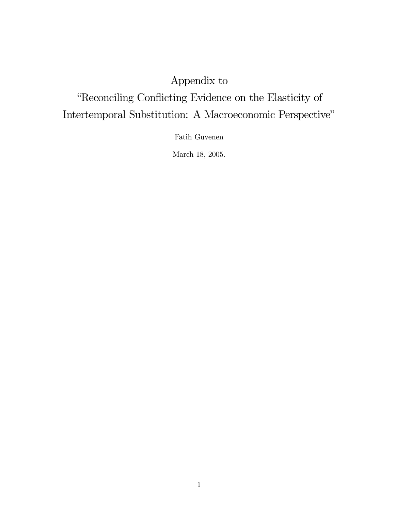# Appendix to ìReconciling Conáicting Evidence on the Elasticity of Intertemporal Substitution: A Macroeconomic Perspective"

Fatih Guvenen

March 18, 2005.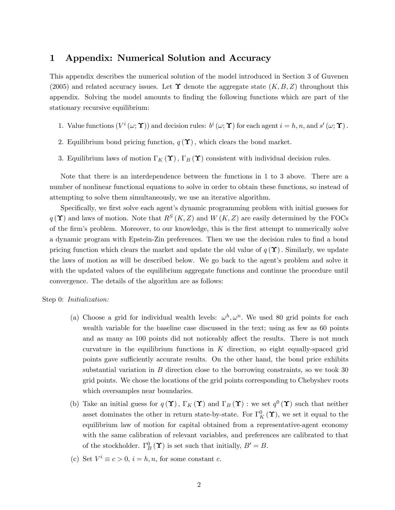### 1 Appendix: Numerical Solution and Accuracy

This appendix describes the numerical solution of the model introduced in Section 3 of Guvenen (2005) and related accuracy issues. Let  $\Upsilon$  denote the aggregate state  $(K, B, Z)$  throughout this appendix. Solving the model amounts to finding the following functions which are part of the stationary recursive equilibrium:

- 1. Value functions  $(V^i(\omega; \Upsilon))$  and decision rules:  $b^i(\omega; \Upsilon)$  for each agent  $i = h, n$ , and  $s'(\omega; \Upsilon)$ .
- 2. Equilibrium bond pricing function,  $q(\Upsilon)$ , which clears the bond market.
- 3. Equilibrium laws of motion  $\Gamma_K(\Upsilon)$ ,  $\Gamma_B(\Upsilon)$  consistent with individual decision rules.

Note that there is an interdependence between the functions in 1 to 3 above. There are a number of nonlinear functional equations to solve in order to obtain these functions, so instead of attempting to solve them simultaneously, we use an iterative algorithm.

Specifically, we first solve each agent's dynamic programming problem with initial guesses for  $q(\Upsilon)$  and laws of motion. Note that  $R^{S}(K, Z)$  and  $W(K, Z)$  are easily determined by the FOCs of the firm's problem. Moreover, to our knowledge, this is the first attempt to numerically solve a dynamic program with Epstein-Zin preferences. Then we use the decision rules to find a bond pricing function which clears the market and update the old value of  $q(\Upsilon)$ . Similarly, we update the laws of motion as will be described below. We go back to the agent's problem and solve it with the updated values of the equilibrium aggregate functions and continue the procedure until convergence. The details of the algorithm are as follows:

#### Step 0: *Initialization*:

- (a) Choose a grid for individual wealth levels:  $\omega^h$ ,  $\omega^n$ . We used 80 grid points for each wealth variable for the baseline case discussed in the text; using as few as 60 points and as many as 100 points did not noticeably affect the results. There is not much curvature in the equilibrium functions in  $K$  direction, so eight equally-spaced grid points gave sufficiently accurate results. On the other hand, the bond price exhibits substantial variation in B direction close to the borrowing constraints, so we took 30 grid points. We chose the locations of the grid points corresponding to Chebyshev roots which oversamples near boundaries.
- (b) Take an initial guess for  $q(\Upsilon)$ ,  $\Gamma_K(\Upsilon)$  and  $\Gamma_B(\Upsilon)$  : we set  $q^0(\Upsilon)$  such that neither asset dominates the other in return state-by-state. For  $\Gamma_K^0(\Upsilon)$ , we set it equal to the equilibrium law of motion for capital obtained from a representative-agent economy with the same calibration of relevant variables, and preferences are calibrated to that of the stockholder.  $\Gamma_B^0(\Upsilon)$  is set such that initially,  $B'=B$ .
- (c) Set  $V^i \equiv c > 0$ ,  $i = h, n$ , for some constant c.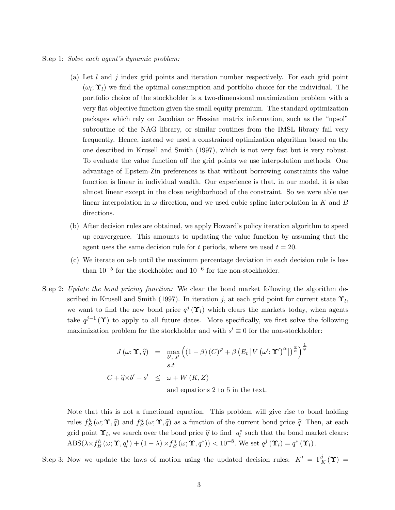#### Step 1: Solve each agent's dynamic problem:

- (a) Let  $l$  and  $j$  index grid points and iteration number respectively. For each grid point  $(\omega_l; \mathbf{\hat{Y}}_l)$  we find the optimal consumption and portfolio choice for the individual. The portfolio choice of the stockholder is a two-dimensional maximization problem with a very flat objective function given the small equity premium. The standard optimization packages which rely on Jacobian or Hessian matrix information, such as the "npsol" subroutine of the NAG library, or similar routines from the IMSL library fail very frequently. Hence, instead we used a constrained optimization algorithm based on the one described in Krusell and Smith (1997), which is not very fast but is very robust. To evaluate the value function off the grid points we use interpolation methods. One advantage of Epstein-Zin preferences is that without borrowing constraints the value function is linear in individual wealth. Our experience is that, in our model, it is also almost linear except in the close neighborhood of the constraint. So we were able use linear interpolation in  $\omega$  direction, and we used cubic spline interpolation in K and B directions.
- (b) After decision rules are obtained, we apply Howard's policy iteration algorithm to speed up convergence. This amounts to updating the value function by assuming that the agent uses the same decision rule for t periods, where we used  $t = 20$ .
- (c) We iterate on a-b until the maximum percentage deviation in each decision rule is less than  $10^{-5}$  for the stockholder and  $10^{-6}$  for the non-stockholder.
- Step 2: Update the bond pricing function: We clear the bond market following the algorithm described in Krusell and Smith (1997). In iteration j, at each grid point for current state  $\Upsilon_l$ , we want to find the new bond price  $q^{j}(\Upsilon_l)$  which clears the markets today, when agents take  $q^{j-1}(\Upsilon)$  to apply to all future dates. More specifically, we first solve the following maximization problem for the stockholder and with  $s' \equiv 0$  for the non-stockholder:

$$
J(\omega; \Upsilon, \hat{q}) = \max_{b', s'} \left( (1 - \beta) (C)^{\varphi} + \beta \left( E_t \left[ V (\omega'; \Upsilon')^{\alpha} \right] \right)^{\frac{\varphi}{\alpha}} \right)^{\frac{1}{\varphi}}
$$
  
s.t  

$$
C + \hat{q} \times b' + s' \leq \omega + W(K, Z)
$$
  
and equations 2 to 5 in the text.

Note that this is not a functional equation. This problem will give rise to bond holding rules  $f_B^h(\omega; \Upsilon, \hat{q})$  and  $f_B^n(\omega; \Upsilon, \hat{q})$  as a function of the current bond price  $\hat{q}$ . Then, at each grid point  $\Upsilon_l$ , we search over the bond price  $\hat{q}$  to find  $q_l^*$  such that the bond market clears:  $\text{ABS}(\lambda \times f_B^h(\omega; \Upsilon,q_l^*) + (1-\lambda) \times f_B^n(\omega; \Upsilon,q^*)) < 10^{-8}$ . We set  $q^j(\Upsilon_l) = q^*(\Upsilon_l)$ .

Step 3: Now we update the laws of motion using the updated decision rules:  $K' = \Gamma^j_K(\Upsilon) =$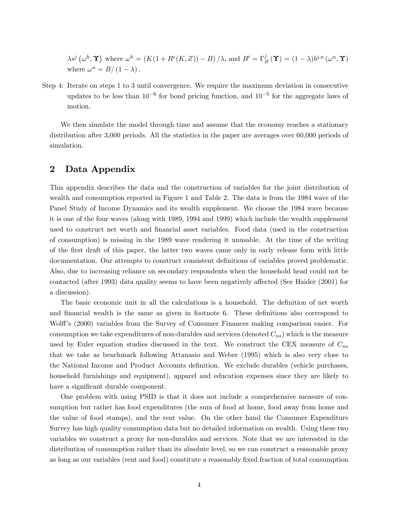$\lambda s^{j}(\omega^{h}, \Upsilon)$  where  $\omega^{h} = (K(1 + R^{e}(K, Z)) - B)/\lambda$ , and  $B' = \Gamma_{B}^{j}(\Upsilon) = (1 - \lambda)b^{j,n}(\omega^{n}, \Upsilon)$ where  $\omega^n = B/(1 - \lambda)$ .

Step 4: Iterate on steps 1 to 3 until convergence. We require the maximum deviation in consecutive updates to be less than  $10^{-6}$  for bond pricing function, and  $10^{-5}$  for the aggregate laws of motion.

We then simulate the model through time and assume that the economy reaches a stationary distribution after 3,000 periods. All the statistics in the paper are averages over 60,000 periods of simulation.

## 2 Data Appendix

This appendix describes the data and the construction of variables for the joint distribution of wealth and consumption reported in Figure 1 and Table 2. The data is from the 1984 wave of the Panel Study of Income Dynamics and its wealth supplement. We choose the 1984 wave because it is one of the four waves (along with 1989, 1994 and 1999) which include the wealth supplement used to construct net worth and financial asset variables. Food data (used in the construction of consumption) is missing in the 1989 wave rendering it unusable. At the time of the writing of the Örst draft of this paper, the latter two waves came only in early release form with little documentation. Our attempts to construct consistent definitions of variables proved problematic. Also, due to increasing reliance on secondary respondents when the household head could not be contacted (after 1993) data quality seems to have been negatively affected (See Haider (2001) for a discussion).

The basic economic unit in all the calculations is a household. The definition of net worth and financial wealth is the same as given in footnote 6. These definitions also correspond to Wolff's (2000) variables from the Survey of Consumer Finances making comparison easier. For consumption we take expenditures of non-durables and services (denoted  $C_{ns}$ ) which is the measure used by Euler equation studies discussed in the text. We construct the CEX measure of  $C_{ns}$ that we take as benchmark following Attanasio and Weber (1995) which is also very close to the National Income and Product Accounts definition. We exclude durables (vehicle purchases, household furnishings and equipment), apparel and education expenses since they are likely to have a significant durable component.

One problem with using PSID is that it does not include a comprehensive measure of consumption but rather has food expenditures (the sum of food at home, food away from home and the value of food stamps), and the rent value. On the other hand the Consumer Expenditure Survey has high quality consumption data but no detailed information on wealth. Using these two variables we construct a proxy for non-durables and services. Note that we are interested in the distribution of consumption rather than its absolute level, so we can construct a reasonable proxy as long as our variables (rent and food) constitute a reasonably fixed fraction of total consumption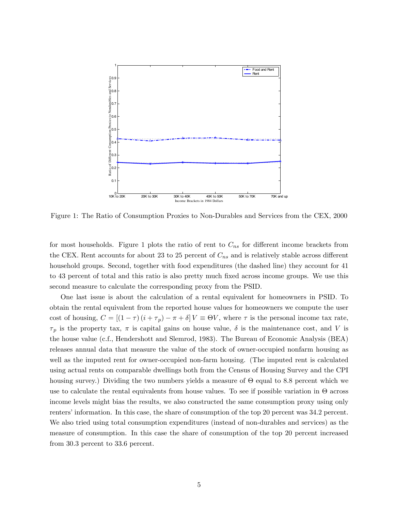

Figure 1: The Ratio of Consumption Proxies to Non-Durables and Services from the CEX, 2000

for most households. Figure 1 plots the ratio of rent to  $C_{ns}$  for different income brackets from the CEX. Rent accounts for about 23 to 25 percent of  $C_{ns}$  and is relatively stable across different household groups. Second, together with food expenditures (the dashed line) they account for 41 to 43 percent of total and this ratio is also pretty much fixed across income groups. We use this second measure to calculate the corresponding proxy from the PSID.

One last issue is about the calculation of a rental equivalent for homeowners in PSID. To obtain the rental equivalent from the reported house values for homeowners we compute the user cost of housing,  $C = [(1 - \tau) (i + \tau_p) - \pi + \delta] V \equiv \Theta V$ , where  $\tau$  is the personal income tax rate,  $\tau_p$  is the property tax,  $\pi$  is capital gains on house value,  $\delta$  is the maintenance cost, and V is the house value (c.f., Hendershott and Slemrod, 1983). The Bureau of Economic Analysis (BEA) releases annual data that measure the value of the stock of owner-occupied nonfarm housing as well as the imputed rent for owner-occupied non-farm housing. (The imputed rent is calculated using actual rents on comparable dwellings both from the Census of Housing Survey and the CPI housing survey.) Dividing the two numbers yields a measure of  $\Theta$  equal to 8.8 percent which we use to calculate the rental equivalents from house values. To see if possible variation in  $\Theta$  across income levels might bias the results, we also constructed the same consumption proxy using only renters' information. In this case, the share of consumption of the top 20 percent was 34.2 percent. We also tried using total consumption expenditures (instead of non-durables and services) as the measure of consumption. In this case the share of consumption of the top 20 percent increased from 30.3 percent to 33.6 percent.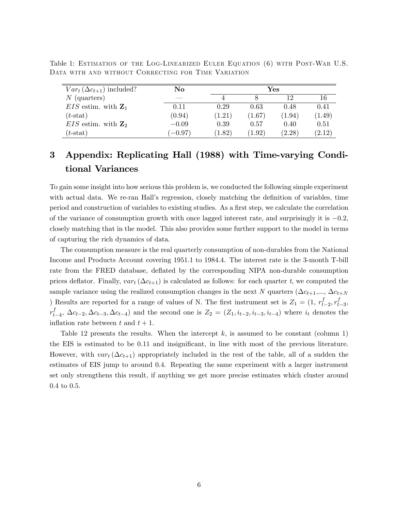| $Var_t(\Delta c_{t+1})$ included? | No        | $\mathbf{Yes}$ |        |        |        |
|-----------------------------------|-----------|----------------|--------|--------|--------|
| $N$ (quarters)                    | ___       |                |        | 12     | 16     |
| $EIS$ estim. with $\mathbf{Z}_1$  | 0.11      | 0.29           | 0.63   | 0.48   | 0.41   |
| $(t\text{-stat})$                 | (0.94)    | (1.21)         | (1.67) | (1.94) | (1.49) |
| $EIS$ estim. with $\mathbb{Z}_2$  | $-0.09$   | 0.39           | 0.57   | 0.40   | 0.51   |
| $(t\text{-stat})$                 | $(-0.97)$ | (1.82)         | (1.92) | (2.28) | (2.12) |

Table 1: Estimation of the Log-Linearized Euler Equation (6) with Post-War U.S. Data with and without Correcting for Time Variation

# 3 Appendix: Replicating Hall (1988) with Time-varying Conditional Variances

To gain some insight into how serious this problem is, we conducted the following simple experiment with actual data. We re-ran Hall's regression, closely matching the definition of variables, time period and construction of variables to existing studies. As a first step, we calculate the correlation of the variance of consumption growth with once lagged interest rate, and surprisingly it is  $-0.2$ , closely matching that in the model. This also provides some further support to the model in terms of capturing the rich dynamics of data.

The consumption measure is the real quarterly consumption of non-durables from the National Income and Products Account covering 1951.1 to 1984.4. The interest rate is the 3-month T-bill rate from the FRED database, deflated by the corresponding NIPA non-durable consumption prices deflator. Finally,  $var_t(\Delta c_{t+1})$  is calculated as follows: for each quarter t, we computed the sample variance using the realized consumption changes in the next N quarters ( $\Delta c_{t+1},...,\Delta c_{t+N}$ ) Results are reported for a range of values of N. The first instrument set is  $Z_1 = (1, r_{t-2}^f, r_{t-3}^f,$  $r_{t-4}^f$ ,  $\Delta c_{t-2}, \Delta c_{t-3}, \Delta c_{t-4}$  and the second one is  $Z_2 = (Z_1, i_{t-2}, i_{t-3}, i_{t-4})$  where  $i_t$  denotes the inflation rate between t and  $t + 1$ .

Table 12 presents the results. When the intercept  $k$ , is assumed to be constant (column 1) the EIS is estimated to be 0.11 and insignificant, in line with most of the previous literature. However, with  $var_t(\Delta c_{t+1})$  appropriately included in the rest of the table, all of a sudden the estimates of EIS jump to around 0.4. Repeating the same experiment with a larger instrument set only strengthens this result, if anything we get more precise estimates which cluster around 0.4 to 0.5.